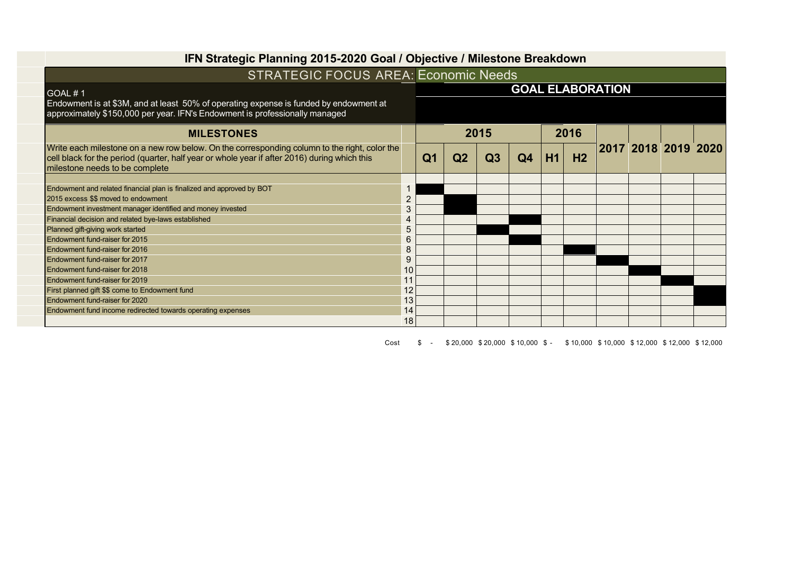| IFN Strategic Planning 2015-2020 Goal / Objective / Milestone Breakdown                                                                                                                                                        |                |                |                |    |                |      |                |                         |  |                     |  |
|--------------------------------------------------------------------------------------------------------------------------------------------------------------------------------------------------------------------------------|----------------|----------------|----------------|----|----------------|------|----------------|-------------------------|--|---------------------|--|
| <b>STRATEGIC FOCUS AREA: Economic Needs</b>                                                                                                                                                                                    |                |                |                |    |                |      |                |                         |  |                     |  |
| GOAL#1<br>Endowment is at \$3M, and at least 50% of operating expense is funded by endowment at<br>approximately \$150,000 per year. IFN's Endowment is professionally managed                                                 |                |                |                |    |                |      |                | <b>GOAL ELABORATION</b> |  |                     |  |
| <b>MILESTONES</b>                                                                                                                                                                                                              |                | 2015           |                |    |                | 2016 |                |                         |  |                     |  |
| Write each milestone on a new row below. On the corresponding column to the right, color the<br>cell black for the period (quarter, half year or whole year if after 2016) during which this<br>milestone needs to be complete |                | Q <sub>1</sub> | Q <sub>2</sub> | Q3 | Q <sub>4</sub> | H1   | H <sub>2</sub> |                         |  | 2017 2018 2019 2020 |  |
|                                                                                                                                                                                                                                |                |                |                |    |                |      |                |                         |  |                     |  |
| Endowment and related financial plan is finalized and approved by BOT                                                                                                                                                          |                |                |                |    |                |      |                |                         |  |                     |  |
| 2015 excess \$\$ moved to endowment                                                                                                                                                                                            | $\overline{2}$ |                |                |    |                |      |                |                         |  |                     |  |
| Endowment investment manager identified and money invested                                                                                                                                                                     | 3              |                |                |    |                |      |                |                         |  |                     |  |
| Financial decision and related bye-laws established                                                                                                                                                                            | 4              |                |                |    |                |      |                |                         |  |                     |  |
| Planned gift-giving work started                                                                                                                                                                                               | 5              |                |                |    |                |      |                |                         |  |                     |  |
| Endowment fund-raiser for 2015                                                                                                                                                                                                 | 6              |                |                |    |                |      |                |                         |  |                     |  |
| Endowment fund-raiser for 2016                                                                                                                                                                                                 | 8              |                |                |    |                |      |                |                         |  |                     |  |
| Endowment fund-raiser for 2017                                                                                                                                                                                                 | 9              |                |                |    |                |      |                |                         |  |                     |  |
| Endowment fund-raiser for 2018                                                                                                                                                                                                 | 10             |                |                |    |                |      |                |                         |  |                     |  |
| Endowment fund-raiser for 2019                                                                                                                                                                                                 | 11             |                |                |    |                |      |                |                         |  |                     |  |
| First planned gift \$\$ come to Endowment fund                                                                                                                                                                                 | 12             |                |                |    |                |      |                |                         |  |                     |  |
| Endowment fund-raiser for 2020                                                                                                                                                                                                 | 13             |                |                |    |                |      |                |                         |  |                     |  |
| Endowment fund income redirected towards operating expenses                                                                                                                                                                    | 14             |                |                |    |                |      |                |                         |  |                     |  |
|                                                                                                                                                                                                                                | 18             |                |                |    |                |      |                |                         |  |                     |  |

Cost \$ - \$ 20,000 \$ 20,000 \$ 10,000 \$ - \$ 10,000 \$ 10,000 \$ 12,000 \$ 12,000 \$ 12,000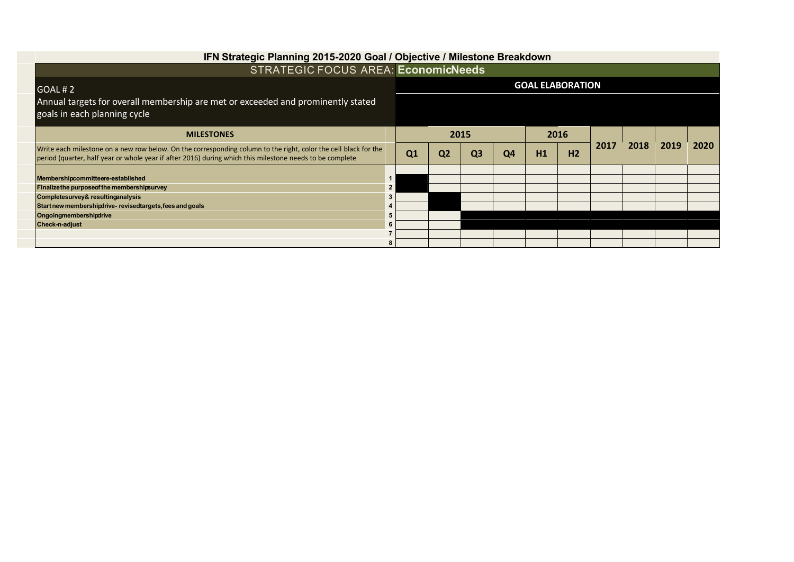| IFN Strategic Planning 2015-2020 Goal / Objective / Milestone Breakdown                                                                                                                                                     |                |                         |                |                |    |      |                |      |      |      |      |
|-----------------------------------------------------------------------------------------------------------------------------------------------------------------------------------------------------------------------------|----------------|-------------------------|----------------|----------------|----|------|----------------|------|------|------|------|
| <b>STRATEGIC FOCUS AREA: EconomicNeeds</b>                                                                                                                                                                                  |                |                         |                |                |    |      |                |      |      |      |      |
| I GOAL # 2                                                                                                                                                                                                                  |                | <b>GOAL ELABORATION</b> |                |                |    |      |                |      |      |      |      |
| Annual targets for overall membership are met or exceeded and prominently stated<br>goals in each planning cycle                                                                                                            |                |                         |                |                |    |      |                |      |      |      |      |
| <b>MILESTONES</b>                                                                                                                                                                                                           |                | 2015                    |                |                |    | 2016 |                |      |      |      |      |
| Write each milestone on a new row below. On the corresponding column to the right, color the cell black for the<br>period (quarter, half year or whole year if after 2016) during which this milestone needs to be complete |                | Q1                      | Q <sub>2</sub> | Q <sub>3</sub> | Q4 | H1   | H <sub>2</sub> | 2017 | 2018 | 2019 | 2020 |
| Membershipcommitteere-established                                                                                                                                                                                           |                |                         |                |                |    |      |                |      |      |      |      |
| Finalizethe purpose of the membershipsurvey                                                                                                                                                                                 | $\overline{2}$ |                         |                |                |    |      |                |      |      |      |      |
| Completesurvey& resulting analysis                                                                                                                                                                                          | 3              |                         |                |                |    |      |                |      |      |      |      |
| Start new membership drive-revised targets, fees and goals                                                                                                                                                                  |                |                         |                |                |    |      |                |      |      |      |      |
| Ongoingmembershipdrive                                                                                                                                                                                                      | 5              |                         |                |                |    |      |                |      |      |      |      |
| <b>Check-n-adjust</b>                                                                                                                                                                                                       | 6              |                         |                |                |    |      |                |      |      |      |      |
|                                                                                                                                                                                                                             | 8              |                         |                |                |    |      |                |      |      |      |      |